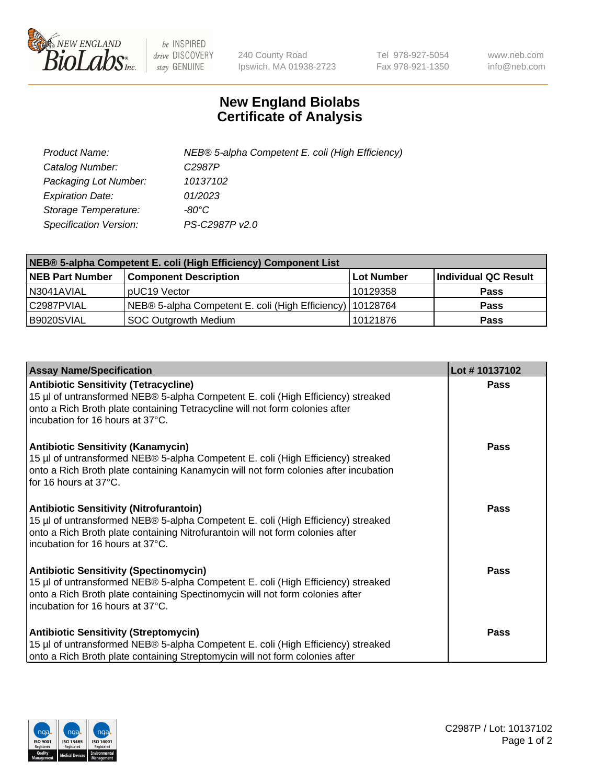

 $be$  INSPIRED drive DISCOVERY stay GENUINE

240 County Road Ipswich, MA 01938-2723 Tel 978-927-5054 Fax 978-921-1350 www.neb.com info@neb.com

## **New England Biolabs Certificate of Analysis**

| Product Name:                 | NEB® 5-alpha Competent E. coli (High Efficiency) |
|-------------------------------|--------------------------------------------------|
| Catalog Number:               | C <sub>2987</sub> P                              |
| Packaging Lot Number:         | 10137102                                         |
| <b>Expiration Date:</b>       | 01/2023                                          |
| Storage Temperature:          | -80°C                                            |
| <b>Specification Version:</b> | PS-C2987P v2.0                                   |

| NEB® 5-alpha Competent E. coli (High Efficiency) Component List |                                                             |            |                      |  |
|-----------------------------------------------------------------|-------------------------------------------------------------|------------|----------------------|--|
| <b>NEB Part Number</b>                                          | <b>Component Description</b>                                | Lot Number | Individual QC Result |  |
| N3041AVIAL                                                      | pUC19 Vector                                                | 10129358   | <b>Pass</b>          |  |
| C2987PVIAL                                                      | NEB® 5-alpha Competent E. coli (High Efficiency)   10128764 |            | <b>Pass</b>          |  |
| B9020SVIAL                                                      | SOC Outgrowth Medium                                        | 10121876   | <b>Pass</b>          |  |

| <b>Assay Name/Specification</b>                                                                                                                                                                                                                          | Lot #10137102 |
|----------------------------------------------------------------------------------------------------------------------------------------------------------------------------------------------------------------------------------------------------------|---------------|
| <b>Antibiotic Sensitivity (Tetracycline)</b><br>15 µl of untransformed NEB® 5-alpha Competent E. coli (High Efficiency) streaked<br>onto a Rich Broth plate containing Tetracycline will not form colonies after<br>incubation for 16 hours at 37°C.     | Pass          |
| <b>Antibiotic Sensitivity (Kanamycin)</b><br>15 µl of untransformed NEB® 5-alpha Competent E. coli (High Efficiency) streaked<br>onto a Rich Broth plate containing Kanamycin will not form colonies after incubation<br>for 16 hours at 37°C.           | Pass          |
| <b>Antibiotic Sensitivity (Nitrofurantoin)</b><br>15 µl of untransformed NEB® 5-alpha Competent E. coli (High Efficiency) streaked<br>onto a Rich Broth plate containing Nitrofurantoin will not form colonies after<br>incubation for 16 hours at 37°C. | Pass          |
| <b>Antibiotic Sensitivity (Spectinomycin)</b><br>15 µl of untransformed NEB® 5-alpha Competent E. coli (High Efficiency) streaked<br>onto a Rich Broth plate containing Spectinomycin will not form colonies after<br>incubation for 16 hours at 37°C.   | <b>Pass</b>   |
| <b>Antibiotic Sensitivity (Streptomycin)</b><br>15 µl of untransformed NEB® 5-alpha Competent E. coli (High Efficiency) streaked<br>onto a Rich Broth plate containing Streptomycin will not form colonies after                                         | Pass          |